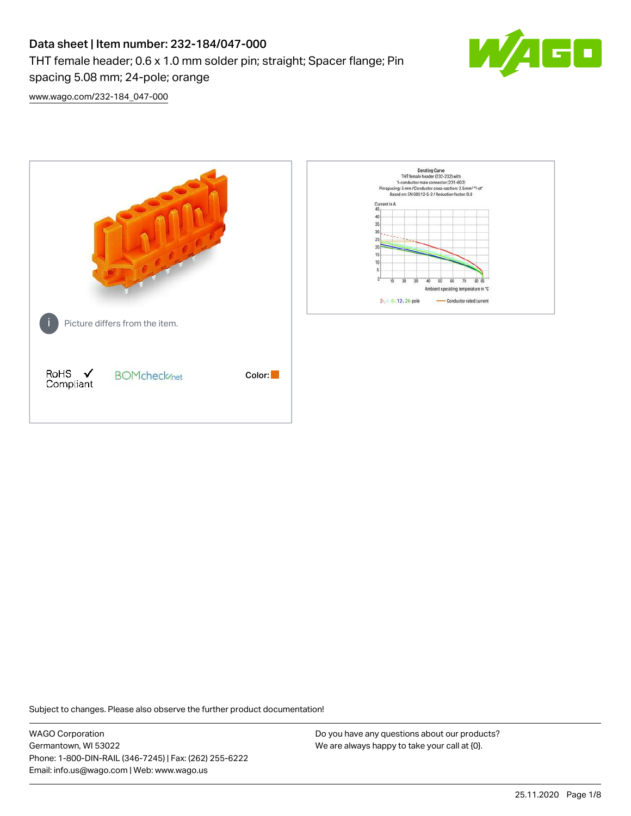# Data sheet | Item number: 232-184/047-000 THT female header; 0.6 x 1.0 mm solder pin; straight; Spacer flange; Pin spacing 5.08 mm; 24-pole; orange



[www.wago.com/232-184\\_047-000](http://www.wago.com/232-184_047-000)



Subject to changes. Please also observe the further product documentation!

WAGO Corporation Germantown, WI 53022 Phone: 1-800-DIN-RAIL (346-7245) | Fax: (262) 255-6222 Email: info.us@wago.com | Web: www.wago.us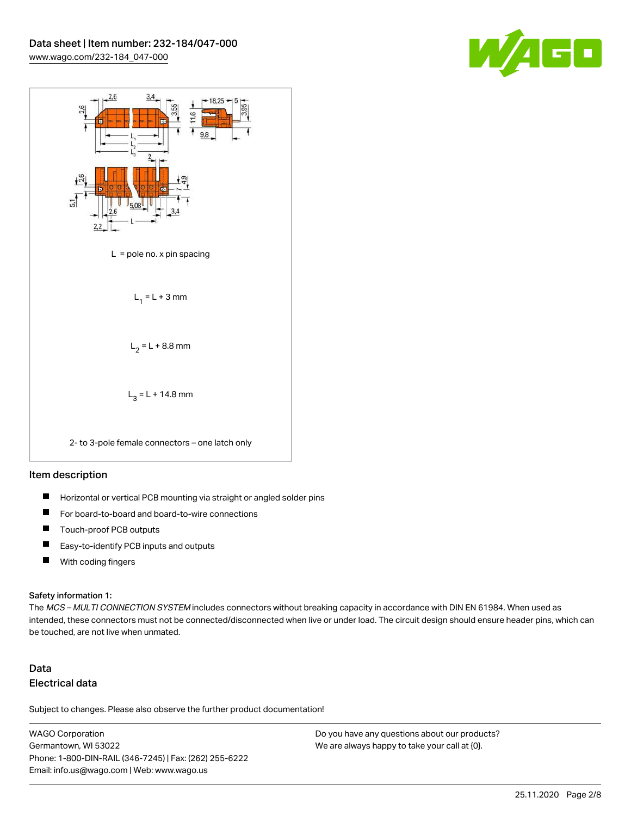



### Item description

- $\blacksquare$ Horizontal or vertical PCB mounting via straight or angled solder pins
- П For board-to-board and board-to-wire connections
- $\blacksquare$ Touch-proof PCB outputs
- $\blacksquare$ Easy-to-identify PCB inputs and outputs
- $\blacksquare$ With coding fingers

#### Safety information 1:

The MCS - MULTI CONNECTION SYSTEM includes connectors without breaking capacity in accordance with DIN EN 61984. When used as intended, these connectors must not be connected/disconnected when live or under load. The circuit design should ensure header pins, which can be touched, are not live when unmated.

# Data Electrical data

Subject to changes. Please also observe the further product documentation!

WAGO Corporation Germantown, WI 53022 Phone: 1-800-DIN-RAIL (346-7245) | Fax: (262) 255-6222 Email: info.us@wago.com | Web: www.wago.us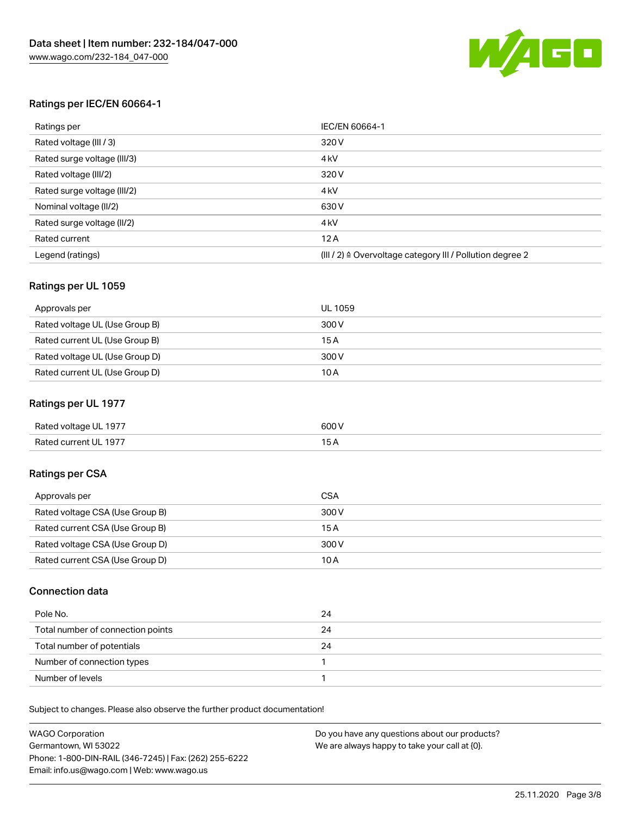

# Ratings per IEC/EN 60664-1

| Ratings per                 | IEC/EN 60664-1                                                        |
|-----------------------------|-----------------------------------------------------------------------|
| Rated voltage (III / 3)     | 320 V                                                                 |
| Rated surge voltage (III/3) | 4 <sub>k</sub> V                                                      |
| Rated voltage (III/2)       | 320 V                                                                 |
| Rated surge voltage (III/2) | 4 <sub>k</sub> V                                                      |
| Nominal voltage (II/2)      | 630 V                                                                 |
| Rated surge voltage (II/2)  | 4 <sub>k</sub> V                                                      |
| Rated current               | 12A                                                                   |
| Legend (ratings)            | $(III / 2)$ $\triangle$ Overvoltage category III / Pollution degree 2 |

# Ratings per UL 1059

| Approvals per                  | UL 1059 |
|--------------------------------|---------|
| Rated voltage UL (Use Group B) | 300 V   |
| Rated current UL (Use Group B) | 15 A    |
| Rated voltage UL (Use Group D) | 300 V   |
| Rated current UL (Use Group D) | 10 A    |

# Ratings per UL 1977

| Rated voltage UL 1977 | 600 <sup>V</sup><br>. |
|-----------------------|-----------------------|
| Rated current UL 1977 |                       |

# Ratings per CSA

| Approvals per                   | CSA   |
|---------------------------------|-------|
| Rated voltage CSA (Use Group B) | 300 V |
| Rated current CSA (Use Group B) | 15 A  |
| Rated voltage CSA (Use Group D) | 300 V |
| Rated current CSA (Use Group D) | 10 A  |

# Connection data

| Pole No.                          | 24 |
|-----------------------------------|----|
| Total number of connection points | 24 |
| Total number of potentials        | 24 |
| Number of connection types        |    |
| Number of levels                  |    |

Subject to changes. Please also observe the further product documentation!

| <b>WAGO Corporation</b>                                | Do you have any questions about our products? |
|--------------------------------------------------------|-----------------------------------------------|
| Germantown, WI 53022                                   | We are always happy to take your call at {0}. |
| Phone: 1-800-DIN-RAIL (346-7245)   Fax: (262) 255-6222 |                                               |
| Email: info.us@wago.com   Web: www.wago.us             |                                               |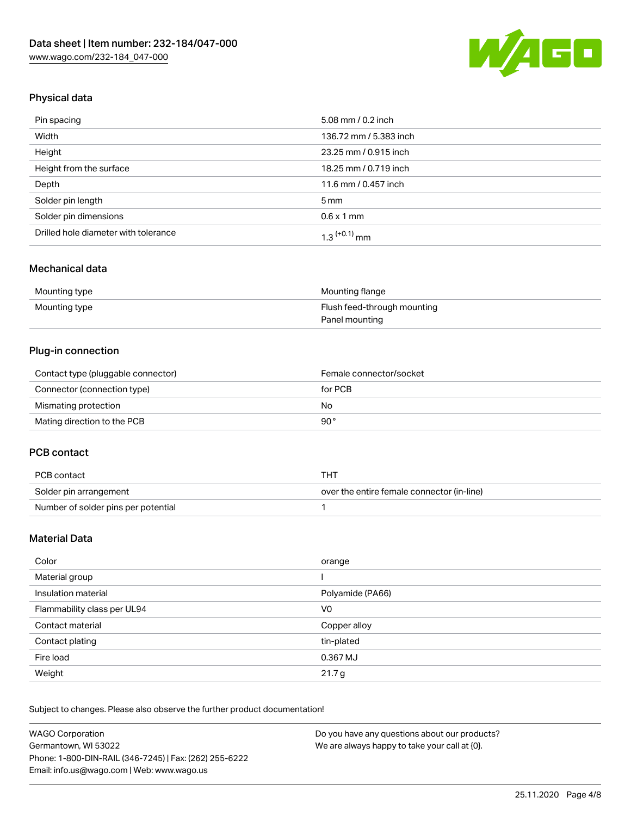

# Physical data

| Pin spacing                          | 5.08 mm / 0.2 inch     |
|--------------------------------------|------------------------|
| Width                                | 136.72 mm / 5.383 inch |
| Height                               | 23.25 mm / 0.915 inch  |
| Height from the surface              | 18.25 mm / 0.719 inch  |
| Depth                                | 11.6 mm / 0.457 inch   |
| Solder pin length                    | $5 \,\mathrm{mm}$      |
| Solder pin dimensions                | $0.6 \times 1$ mm      |
| Drilled hole diameter with tolerance | $1.3$ $(+0.1)$ mm      |

# Mechanical data

| Mounting type | Mounting flange             |
|---------------|-----------------------------|
| Mounting type | Flush feed-through mounting |
|               | Panel mounting              |

# Plug-in connection

| Contact type (pluggable connector) | Female connector/socket |
|------------------------------------|-------------------------|
| Connector (connection type)        | for PCB                 |
| Mismating protection               | No                      |
| Mating direction to the PCB        | 90°                     |

# PCB contact

| PCB contact                         | THT                                        |
|-------------------------------------|--------------------------------------------|
| Solder pin arrangement              | over the entire female connector (in-line) |
| Number of solder pins per potential |                                            |

# Material Data

| Color                       | orange            |
|-----------------------------|-------------------|
| Material group              |                   |
| Insulation material         | Polyamide (PA66)  |
| Flammability class per UL94 | V0                |
| Contact material            | Copper alloy      |
| Contact plating             | tin-plated        |
| Fire load                   | 0.367 MJ          |
| Weight                      | 21.7 <sub>g</sub> |

Subject to changes. Please also observe the further product documentation!

| <b>WAGO Corporation</b>                                | Do you have any questions about our products? |
|--------------------------------------------------------|-----------------------------------------------|
| Germantown, WI 53022                                   | We are always happy to take your call at {0}. |
| Phone: 1-800-DIN-RAIL (346-7245)   Fax: (262) 255-6222 |                                               |
| Email: info.us@wago.com   Web: www.wago.us             |                                               |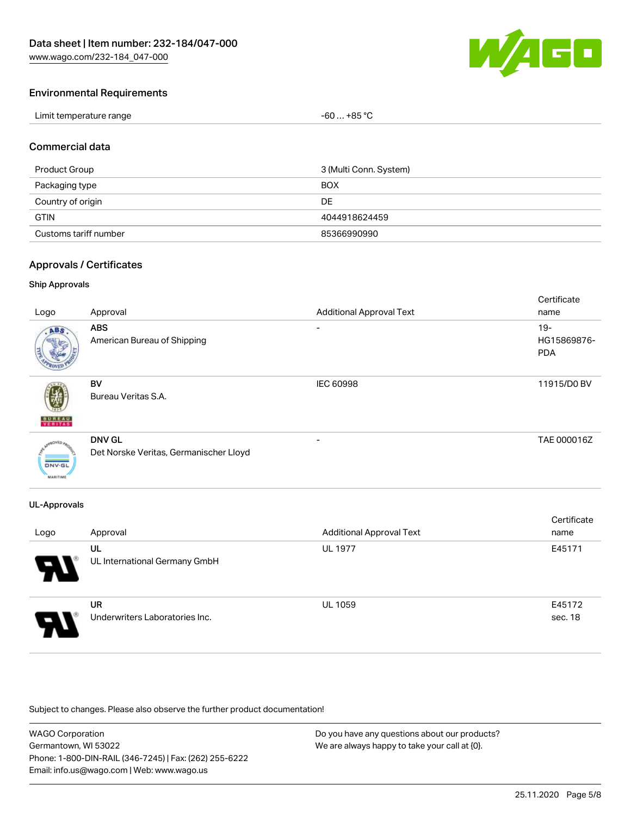[www.wago.com/232-184\\_047-000](http://www.wago.com/232-184_047-000)



# Environmental Requirements

| Limit temperature range | . +85 °C<br>-60 |
|-------------------------|-----------------|
|-------------------------|-----------------|

# Commercial data

| Product Group         | 3 (Multi Conn. System) |
|-----------------------|------------------------|
| Packaging type        | <b>BOX</b>             |
| Country of origin     | DE.                    |
| <b>GTIN</b>           | 4044918624459          |
| Customs tariff number | 85366990990            |

# Approvals / Certificates

# Ship Approvals

| Logo                      | Approval                                                | <b>Additional Approval Text</b> | Certificate<br>name                 |
|---------------------------|---------------------------------------------------------|---------------------------------|-------------------------------------|
| ABS                       | <b>ABS</b><br>American Bureau of Shipping               | ۰                               | $19 -$<br>HG15869876-<br><b>PDA</b> |
| <b>BUREAU</b>             | <b>BV</b><br>Bureau Veritas S.A.                        | <b>IEC 60998</b>                | 11915/D0 BV                         |
| DNV-GL<br><b>MARITIME</b> | <b>DNV GL</b><br>Det Norske Veritas, Germanischer Lloyd |                                 | TAE 000016Z                         |

# UL-Approvals

| Logo | Approval                                    | <b>Additional Approval Text</b> | Certificate<br>name |
|------|---------------------------------------------|---------------------------------|---------------------|
| 8    | UL<br>UL International Germany GmbH         | <b>UL 1977</b>                  | E45171              |
| 8    | <b>UR</b><br>Underwriters Laboratories Inc. | <b>UL 1059</b>                  | E45172<br>sec. 18   |

Subject to changes. Please also observe the further product documentation!

| <b>WAGO Corporation</b>                                | Do you have any questions about our products? |
|--------------------------------------------------------|-----------------------------------------------|
| Germantown, WI 53022                                   | We are always happy to take your call at {0}. |
| Phone: 1-800-DIN-RAIL (346-7245)   Fax: (262) 255-6222 |                                               |
| Email: info.us@wago.com   Web: www.wago.us             |                                               |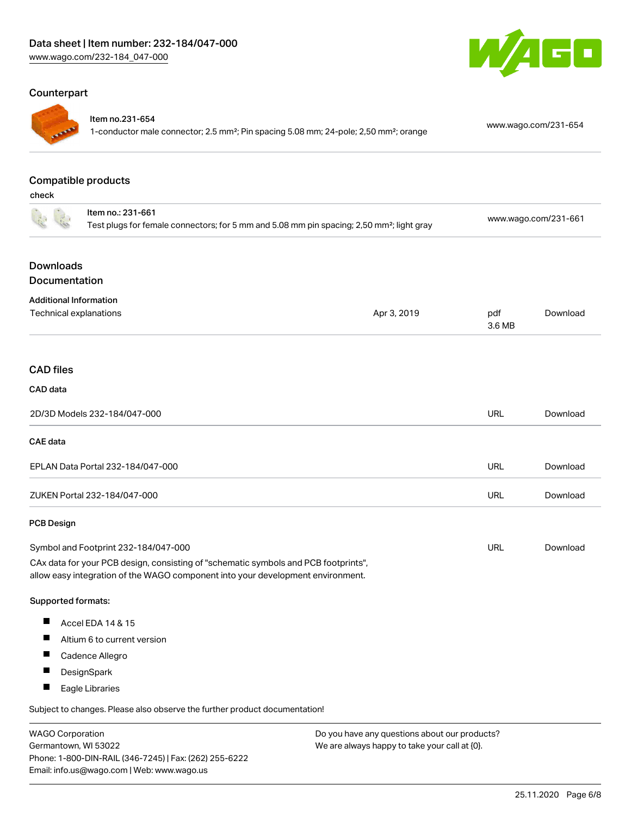# Counterpart



#### Item no.231-654

1-conductor male connector; 2.5 mm²; Pin spacing 5.08 mm; 24-pole; 2,50 mm²; orange [www.wago.com/231-654](https://www.wago.com/231-654)

GO

# Compatible products

check

|                                   | Item no.: 231-661<br>Test plugs for female connectors; for 5 mm and 5.08 mm pin spacing; 2,50 mm <sup>2</sup> ; light gray                                             |             | www.wago.com/231-661 |          |
|-----------------------------------|------------------------------------------------------------------------------------------------------------------------------------------------------------------------|-------------|----------------------|----------|
| <b>Downloads</b><br>Documentation |                                                                                                                                                                        |             |                      |          |
| <b>Additional Information</b>     |                                                                                                                                                                        |             |                      |          |
| Technical explanations            |                                                                                                                                                                        | Apr 3, 2019 | pdf<br>3.6 MB        | Download |
| <b>CAD files</b>                  |                                                                                                                                                                        |             |                      |          |
| <b>CAD</b> data                   |                                                                                                                                                                        |             |                      |          |
|                                   | 2D/3D Models 232-184/047-000                                                                                                                                           |             | <b>URL</b>           | Download |
| <b>CAE</b> data                   |                                                                                                                                                                        |             |                      |          |
|                                   | EPLAN Data Portal 232-184/047-000                                                                                                                                      |             | URL                  | Download |
|                                   | ZUKEN Portal 232-184/047-000                                                                                                                                           |             | URL                  | Download |
| <b>PCB Design</b>                 |                                                                                                                                                                        |             |                      |          |
|                                   | Symbol and Footprint 232-184/047-000                                                                                                                                   |             | URL                  | Download |
|                                   | CAx data for your PCB design, consisting of "schematic symbols and PCB footprints",<br>allow easy integration of the WAGO component into your development environment. |             |                      |          |
| Supported formats:                |                                                                                                                                                                        |             |                      |          |
| Ш                                 | Accel EDA 14 & 15                                                                                                                                                      |             |                      |          |
| ш                                 | Altium 6 to current version                                                                                                                                            |             |                      |          |
| п                                 | Cadence Allegro                                                                                                                                                        |             |                      |          |
| П                                 | DesignSpark                                                                                                                                                            |             |                      |          |
| ш                                 | Eagle Libraries                                                                                                                                                        |             |                      |          |
|                                   | Subject to changes. Please also observe the further product documentation!                                                                                             |             |                      |          |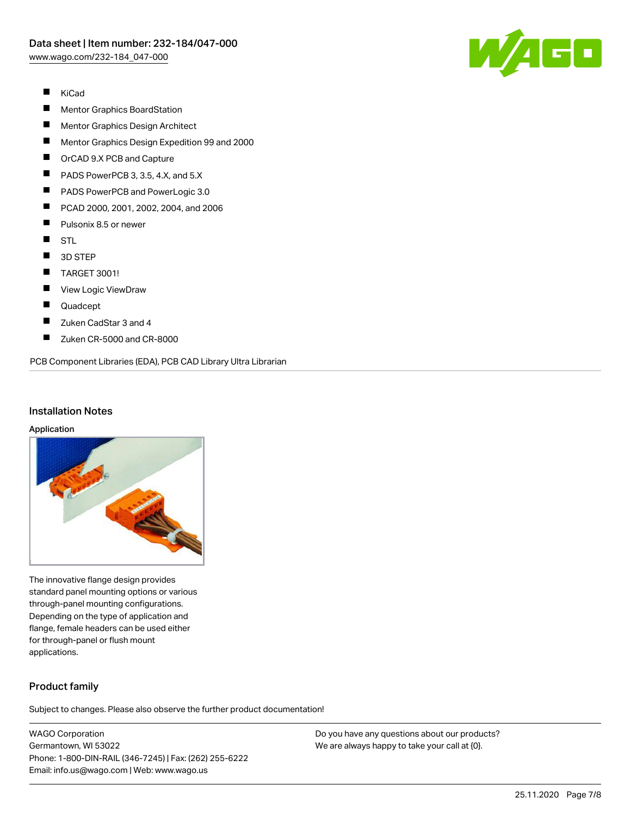

- $\blacksquare$ KiCad
- П Mentor Graphics BoardStation
- $\blacksquare$ Mentor Graphics Design Architect
- $\blacksquare$ Mentor Graphics Design Expedition 99 and 2000
- $\blacksquare$ OrCAD 9.X PCB and Capture
- $\blacksquare$ PADS PowerPCB 3, 3.5, 4.X, and 5.X
- $\blacksquare$ PADS PowerPCB and PowerLogic 3.0
- $\blacksquare$ PCAD 2000, 2001, 2002, 2004, and 2006
- П Pulsonix 8.5 or newer
- $\blacksquare$ STL
- $\blacksquare$ 3D STEP
- $\blacksquare$ TARGET 3001!
- $\blacksquare$ View Logic ViewDraw
- $\blacksquare$ Quadcept
- $\blacksquare$ Zuken CadStar 3 and 4
- $\blacksquare$ Zuken CR-5000 and CR-8000

PCB Component Libraries (EDA), PCB CAD Library Ultra Librarian

### Installation Notes

#### Application



The innovative flange design provides standard panel mounting options or various through-panel mounting configurations. Depending on the type of application and flange, female headers can be used either for through-panel or flush mount applications.

# Product family

Subject to changes. Please also observe the further product documentation!

WAGO Corporation Germantown, WI 53022 Phone: 1-800-DIN-RAIL (346-7245) | Fax: (262) 255-6222 Email: info.us@wago.com | Web: www.wago.us